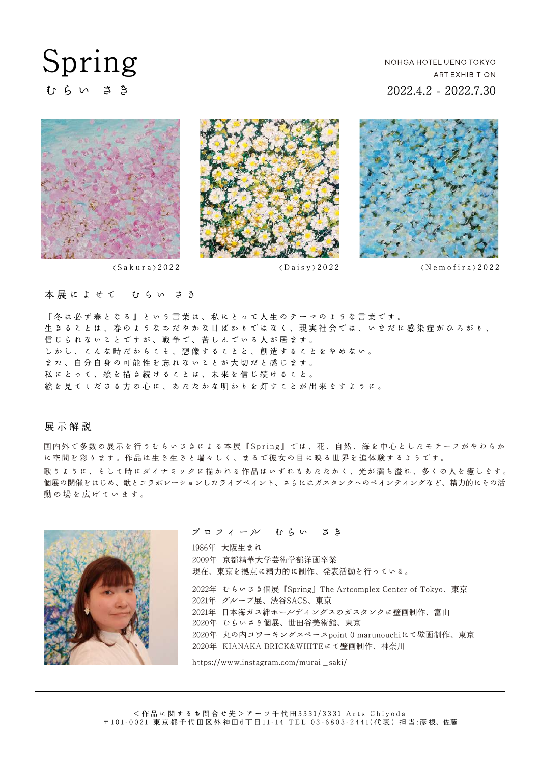# Spring むらい さき

## NOHGA HOTEL UENO TOKYO **ART EXHIBITION** 2022.4.2 - 2022.7.30





 $\langle Sakura \rangle 2022$   $\langle Daisv \rangle 2022$ 



#### 本展によせて むらい さき

『冬は必ず春となる』という言葉は、私にとって人生のテーマのような言葉です。 生きることは、春のようなおだやかな日ばかりではなく、現実社会では、いまだに感染症がひろがり、 信じられないことですが、戦争で、苦しんでいる人が居ます。 しかし、こんな時だからこそ、想像することと、創造することをやめない。 また、自分自身の可能性を忘れないことが大切だと感じます。 私にとって、絵を描き続けることは、未来を信じ続けること。 絵を見てくださる方の心に、あたたかな明かりを灯すことが出来ますように。

展示解 説

国内外で多数の展示を行うむらいさきによる本展『Spring』では、花、自然、海を中心としたモチーフがやわらか に空間を彩ります。作品は生き生きと瑞々しく、まるで彼女の目に映る世界を追体験するようです。 歌うように、そして時にダイナミックに描かれる作品はいずれもあたたかく、光が満ち溢れ、多くの人を癒します。 個展の開催をはじめ、歌とコラボレーションしたライブペイント、さらにはガスタンクへのペインティングなど、精力的にその活 動の場を広げています。



#### プロフィール むらい さき

1986年 大阪生まれ 2009年 京都精華大学芸術学部洋画卒業 2022年 むらいさき個展『Spring』The Artcomplex Center of Tokyo、東京 2021年 グループ展、渋谷SACS、東京 2021年 日本海ガス絆ホールディングスのガスタンクに壁画制作、富山 2020年 むらいさき個展、世田谷美術館、東京 2020年 丸の内コワーキングスペースpoint 0 marunouchiにて壁画制作、東京 現在、東京を拠点に精力的に制作、発表活動を行っている。 2020年 KIANAKA BRICK&WHITEにて壁画制作、神奈川

https://www.instagram.com/murai\_saki/